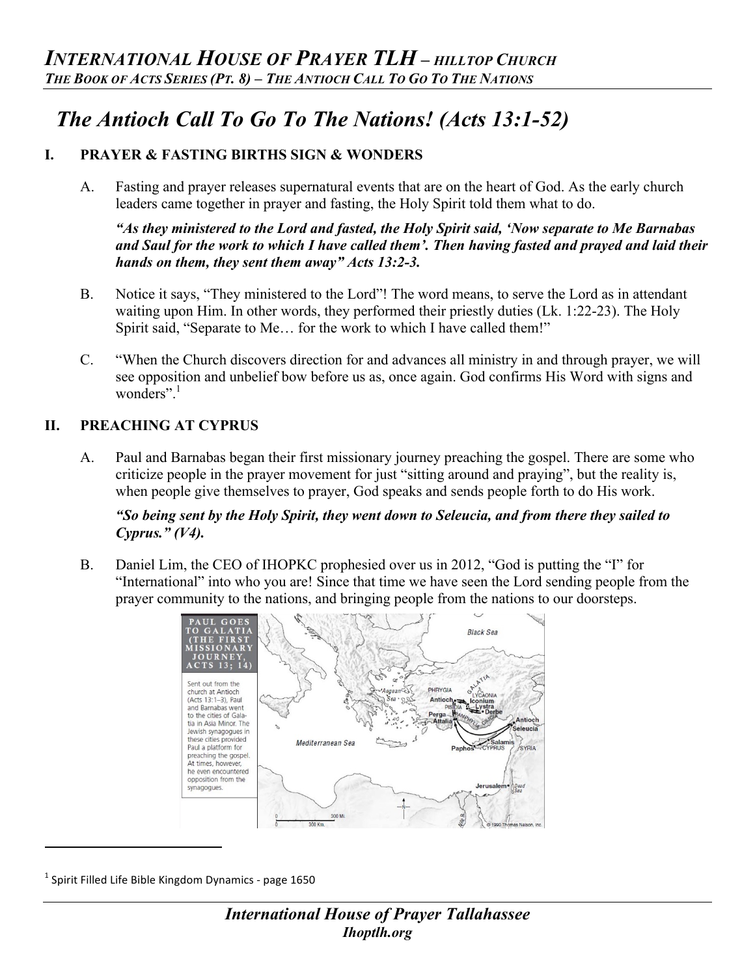# *The Antioch Call To Go To The Nations! (Acts 13:1-52)*

# **I. PRAYER & FASTING BIRTHS SIGN & WONDERS**

A. Fasting and prayer releases supernatural events that are on the heart of God. As the early church leaders came together in prayer and fasting, the Holy Spirit told them what to do.

*"As they ministered to the Lord and fasted, the Holy Spirit said, 'Now separate to Me Barnabas and Saul for the work to which I have called them'. Then having fasted and prayed and laid their hands on them, they sent them away" Acts 13:2-3.*

- B. Notice it says, "They ministered to the Lord"! The word means, to serve the Lord as in attendant waiting upon Him. In other words, they performed their priestly duties (Lk. 1:22-23). The Holy Spirit said, "Separate to Me… for the work to which I have called them!"
- C. "When the Church discovers direction for and advances all ministry in and through prayer, we will see opposition and unbelief bow before us as, once again. God confirms His Word with signs and wonders".<sup>1</sup>

## **II. PREACHING AT CYPRUS**

A. Paul and Barnabas began their first missionary journey preaching the gospel. There are some who criticize people in the prayer movement for just "sitting around and praying", but the reality is, when people give themselves to prayer, God speaks and sends people forth to do His work.

#### *"So being sent by the Holy Spirit, they went down to Seleucia, and from there they sailed to Cyprus." (V4).*

B. Daniel Lim, the CEO of IHOPKC prophesied over us in 2012, "God is putting the "I" for "International" into who you are! Since that time we have seen the Lord sending people from the prayer community to the nations, and bringing people from the nations to our doorsteps.



 $^1$  Spirit Filled Life Bible Kingdom Dynamics - page 1650